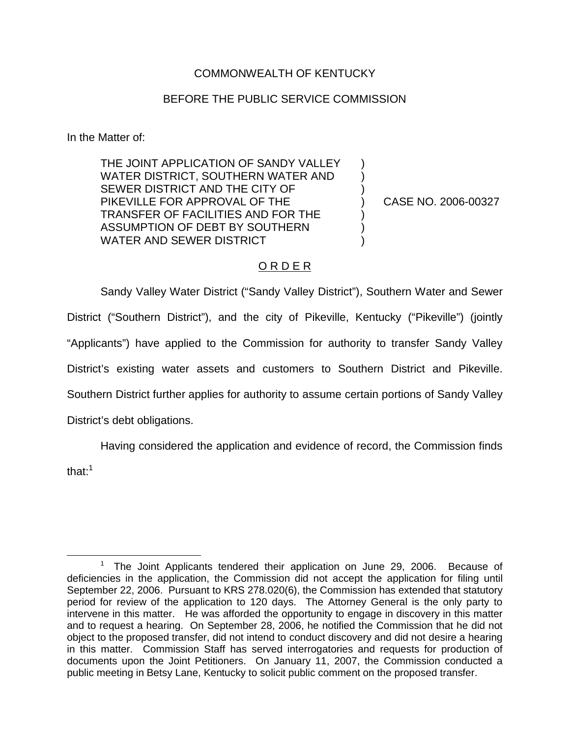## COMMONWEALTH OF KENTUCKY

## BEFORE THE PUBLIC SERVICE COMMISSION

In the Matter of:

THE JOINT APPLICATION OF SANDY VALLEY WATER DISTRICT, SOUTHERN WATER AND SEWER DISTRICT AND THE CITY OF PIKEVILLE FOR APPROVAL OF THE TRANSFER OF FACILITIES AND FOR THE ASSUMPTION OF DEBT BY SOUTHERN WATER AND SEWER DISTRICT

) CASE NO. 2006-00327

) ) )

> ) ) )

## O R D E R

Sandy Valley Water District ("Sandy Valley District"), Southern Water and Sewer District ("Southern District"), and the city of Pikeville, Kentucky ("Pikeville") (jointly "Applicants") have applied to the Commission for authority to transfer Sandy Valley District's existing water assets and customers to Southern District and Pikeville. Southern District further applies for authority to assume certain portions of Sandy Valley District's debt obligations.

Having considered the application and evidence of record, the Commission finds that: $1$ 

<sup>&</sup>lt;sup>1</sup> The Joint Applicants tendered their application on June 29, 2006. Because of deficiencies in the application, the Commission did not accept the application for filing until September 22, 2006. Pursuant to KRS 278.020(6), the Commission has extended that statutory period for review of the application to 120 days. The Attorney General is the only party to intervene in this matter. He was afforded the opportunity to engage in discovery in this matter and to request a hearing. On September 28, 2006, he notified the Commission that he did not object to the proposed transfer, did not intend to conduct discovery and did not desire a hearing in this matter. Commission Staff has served interrogatories and requests for production of documents upon the Joint Petitioners. On January 11, 2007, the Commission conducted a public meeting in Betsy Lane, Kentucky to solicit public comment on the proposed transfer.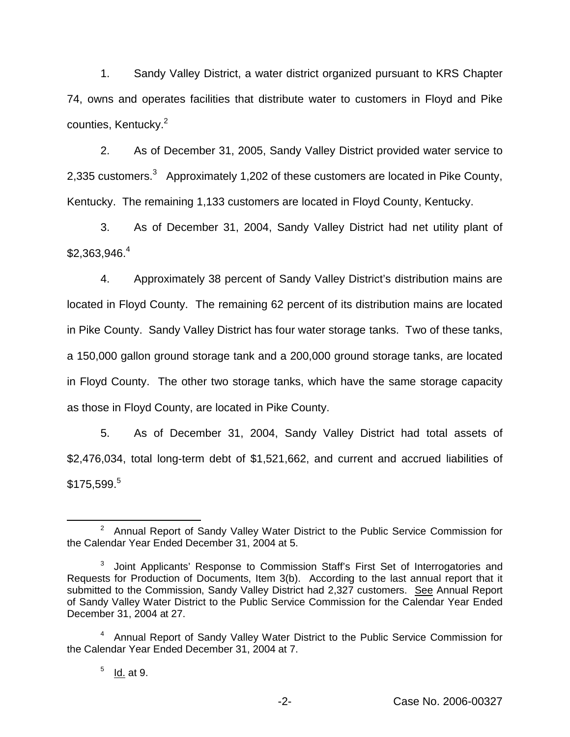1. Sandy Valley District, a water district organized pursuant to KRS Chapter 74, owns and operates facilities that distribute water to customers in Floyd and Pike counties, Kentucky.<sup>2</sup>

2. As of December 31, 2005, Sandy Valley District provided water service to 2,335 customers.<sup>3</sup> Approximately 1,202 of these customers are located in Pike County, Kentucky. The remaining 1,133 customers are located in Floyd County, Kentucky.

3. As of December 31, 2004, Sandy Valley District had net utility plant of  $$2.363.946.<sup>4</sup>$ 

4. Approximately 38 percent of Sandy Valley District's distribution mains are located in Floyd County. The remaining 62 percent of its distribution mains are located in Pike County. Sandy Valley District has four water storage tanks. Two of these tanks, a 150,000 gallon ground storage tank and a 200,000 ground storage tanks, are located in Floyd County. The other two storage tanks, which have the same storage capacity as those in Floyd County, are located in Pike County.

5. As of December 31, 2004, Sandy Valley District had total assets of \$2,476,034, total long-term debt of \$1,521,662, and current and accrued liabilities of \$175,599.<sup>5</sup>

<sup>2</sup> Annual Report of Sandy Valley Water District to the Public Service Commission for the Calendar Year Ended December 31, 2004 at 5.

<sup>&</sup>lt;sup>3</sup> Joint Applicants' Response to Commission Staff's First Set of Interrogatories and Requests for Production of Documents, Item 3(b). According to the last annual report that it submitted to the Commission, Sandy Valley District had 2,327 customers. See Annual Report of Sandy Valley Water District to the Public Service Commission for the Calendar Year Ended December 31, 2004 at 27.

<sup>&</sup>lt;sup>4</sup> Annual Report of Sandy Valley Water District to the Public Service Commission for the Calendar Year Ended December 31, 2004 at 7.

 $<sup>5</sup>$  Id. at 9.</sup>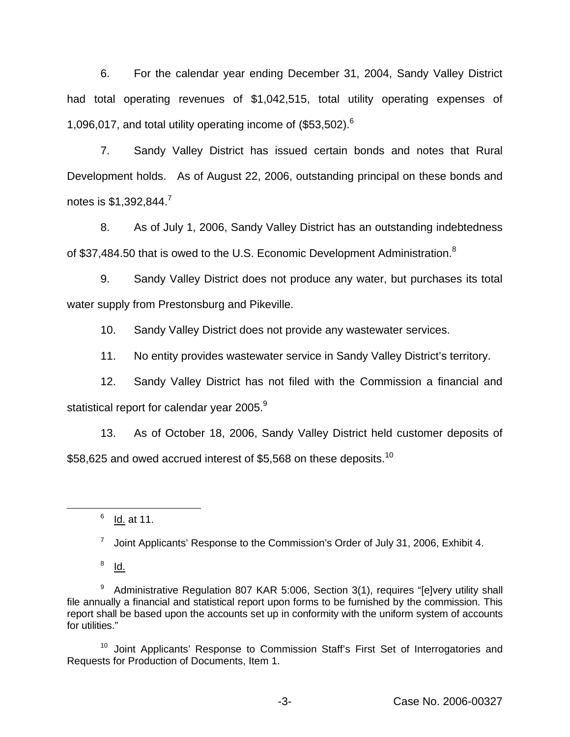6. For the calendar year ending December 31, 2004, Sandy Valley District had total operating revenues of \$1,042,515, total utility operating expenses of 1,096,017, and total utility operating income of (\$53,502).<sup>6</sup>

7. Sandy Valley District has issued certain bonds and notes that Rural Development holds. As of August 22, 2006, outstanding principal on these bonds and notes is  $$1,392,844.<sup>7</sup>$ 

8. As of July 1, 2006, Sandy Valley District has an outstanding indebtedness of \$37,484.50 that is owed to the U.S. Economic Development Administration.<sup>8</sup>

9. Sandy Valley District does not produce any water, but purchases its total water supply from Prestonsburg and Pikeville.

10. Sandy Valley District does not provide any wastewater services.

11. No entity provides wastewater service in Sandy Valley District's territory.

12. Sandy Valley District has not filed with the Commission a financial and statistical report for calendar year 2005.<sup>9</sup>

13. As of October 18, 2006, Sandy Valley District held customer deposits of \$58,625 and owed accrued interest of \$5,568 on these deposits.<sup>10</sup>

 $6$  Id. at 11.

 $7$  Joint Applicants' Response to the Commission's Order of July 31, 2006, Exhibit 4.

 $8$  Id.

<sup>10</sup> Joint Applicants' Response to Commission Staff's First Set of Interrogatories and Requests for Production of Documents, Item 1.

 $9$  Administrative Regulation 807 KAR 5:006, Section 3(1), requires "[e]very utility shall file annually a financial and statistical report upon forms to be furnished by the commission. This report shall be based upon the accounts set up in conformity with the uniform system of accounts for utilities."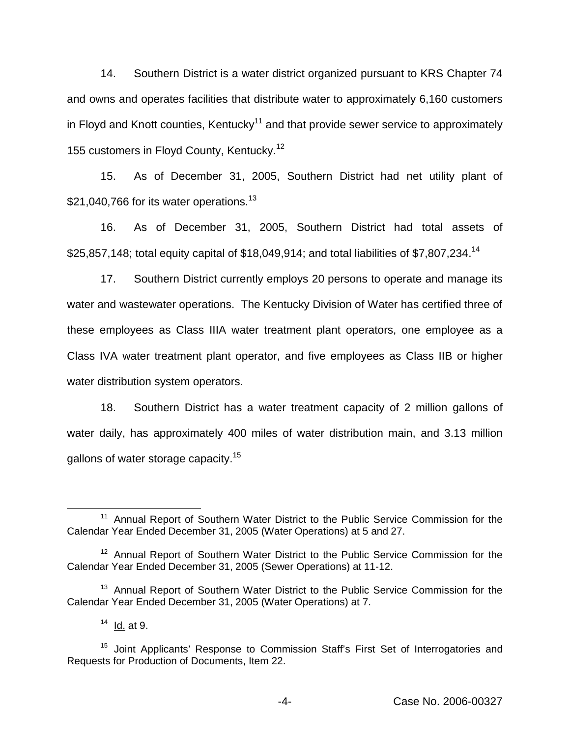14. Southern District is a water district organized pursuant to KRS Chapter 74 and owns and operates facilities that distribute water to approximately 6,160 customers in Floyd and Knott counties, Kentucky<sup>11</sup> and that provide sewer service to approximately 155 customers in Flovd County, Kentucky.<sup>12</sup>

15. As of December 31, 2005, Southern District had net utility plant of \$21,040,766 for its water operations.<sup>13</sup>

16. As of December 31, 2005, Southern District had total assets of \$25,857,148; total equity capital of \$18,049,914; and total liabilities of \$7,807,234.<sup>14</sup>

17. Southern District currently employs 20 persons to operate and manage its water and wastewater operations. The Kentucky Division of Water has certified three of these employees as Class IIIA water treatment plant operators, one employee as a Class IVA water treatment plant operator, and five employees as Class IIB or higher water distribution system operators.

18. Southern District has a water treatment capacity of 2 million gallons of water daily, has approximately 400 miles of water distribution main, and 3.13 million gallons of water storage capacity.<sup>15</sup>

<sup>&</sup>lt;sup>11</sup> Annual Report of Southern Water District to the Public Service Commission for the Calendar Year Ended December 31, 2005 (Water Operations) at 5 and 27.

<sup>&</sup>lt;sup>12</sup> Annual Report of Southern Water District to the Public Service Commission for the Calendar Year Ended December 31, 2005 (Sewer Operations) at 11-12.

<sup>&</sup>lt;sup>13</sup> Annual Report of Southern Water District to the Public Service Commission for the Calendar Year Ended December 31, 2005 (Water Operations) at 7.

 $14$  Id. at 9.

<sup>&</sup>lt;sup>15</sup> Joint Applicants' Response to Commission Staff's First Set of Interrogatories and Requests for Production of Documents, Item 22.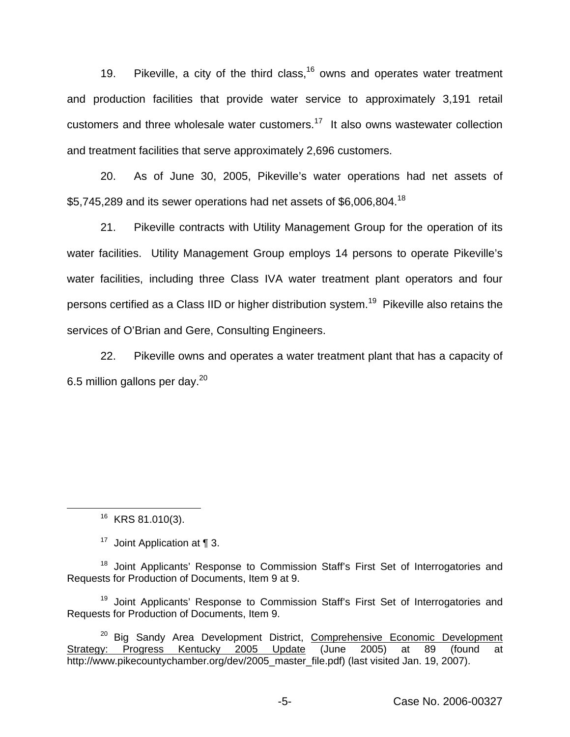19. Pikeville, a city of the third class,  $16$  owns and operates water treatment and production facilities that provide water service to approximately 3,191 retail customers and three wholesale water customers.<sup>17</sup> It also owns wastewater collection and treatment facilities that serve approximately 2,696 customers.

20. As of June 30, 2005, Pikeville's water operations had net assets of \$5,745,289 and its sewer operations had net assets of \$6,006,804.<sup>18</sup>

21. Pikeville contracts with Utility Management Group for the operation of its water facilities. Utility Management Group employs 14 persons to operate Pikeville's water facilities, including three Class IVA water treatment plant operators and four persons certified as a Class IID or higher distribution system.<sup>19</sup> Pikeville also retains the services of O'Brian and Gere, Consulting Engineers.

22. Pikeville owns and operates a water treatment plant that has a capacity of 6.5 million gallons per day.20

<sup>16</sup> KRS 81.010(3).

<sup>17</sup> Joint Application at  $\P$  3.

<sup>18</sup> Joint Applicants' Response to Commission Staff's First Set of Interrogatories and Requests for Production of Documents, Item 9 at 9.

<sup>19</sup> Joint Applicants' Response to Commission Staff's First Set of Interrogatories and Requests for Production of Documents, Item 9.

<sup>20</sup> Big Sandy Area Development District, Comprehensive Economic Development<br>iv: Progress Kentucky 2005 Update (June 2005) at 89 (found at Strategy: Progress Kentucky 2005 Update (June 2005) at 89 (found at http://www.pikecountychamber.org/dev/2005\_master\_file.pdf) (last visited Jan. 19, 2007).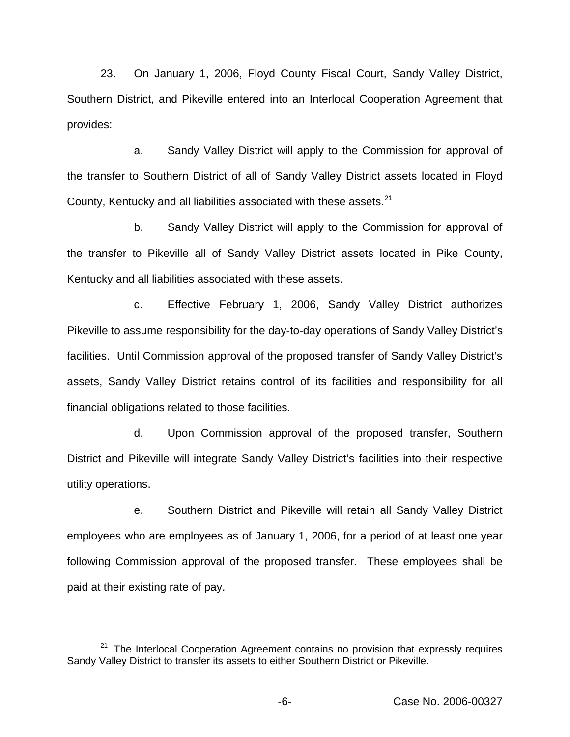23. On January 1, 2006, Floyd County Fiscal Court, Sandy Valley District, Southern District, and Pikeville entered into an Interlocal Cooperation Agreement that provides:

a. Sandy Valley District will apply to the Commission for approval of the transfer to Southern District of all of Sandy Valley District assets located in Floyd County, Kentucky and all liabilities associated with these assets.<sup>21</sup>

b. Sandy Valley District will apply to the Commission for approval of the transfer to Pikeville all of Sandy Valley District assets located in Pike County, Kentucky and all liabilities associated with these assets.

c. Effective February 1, 2006, Sandy Valley District authorizes Pikeville to assume responsibility for the day-to-day operations of Sandy Valley District's facilities. Until Commission approval of the proposed transfer of Sandy Valley District's assets, Sandy Valley District retains control of its facilities and responsibility for all financial obligations related to those facilities.

d. Upon Commission approval of the proposed transfer, Southern District and Pikeville will integrate Sandy Valley District's facilities into their respective utility operations.

e. Southern District and Pikeville will retain all Sandy Valley District employees who are employees as of January 1, 2006, for a period of at least one year following Commission approval of the proposed transfer. These employees shall be paid at their existing rate of pay.

 $21$  The Interlocal Cooperation Agreement contains no provision that expressly requires Sandy Valley District to transfer its assets to either Southern District or Pikeville.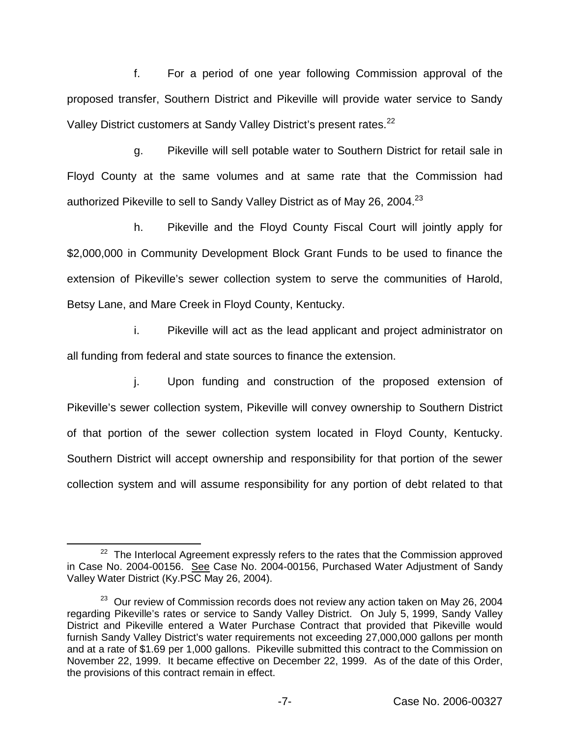f. For a period of one year following Commission approval of the proposed transfer, Southern District and Pikeville will provide water service to Sandy Valley District customers at Sandy Valley District's present rates.<sup>22</sup>

g. Pikeville will sell potable water to Southern District for retail sale in Floyd County at the same volumes and at same rate that the Commission had authorized Pikeville to sell to Sandy Valley District as of May 26, 2004.<sup>23</sup>

h. Pikeville and the Floyd County Fiscal Court will jointly apply for \$2,000,000 in Community Development Block Grant Funds to be used to finance the extension of Pikeville's sewer collection system to serve the communities of Harold, Betsy Lane, and Mare Creek in Floyd County, Kentucky.

i. Pikeville will act as the lead applicant and project administrator on all funding from federal and state sources to finance the extension.

j. Upon funding and construction of the proposed extension of Pikeville's sewer collection system, Pikeville will convey ownership to Southern District of that portion of the sewer collection system located in Floyd County, Kentucky. Southern District will accept ownership and responsibility for that portion of the sewer collection system and will assume responsibility for any portion of debt related to that

 $22$  The Interlocal Agreement expressly refers to the rates that the Commission approved in Case No. 2004-00156. See Case No. 2004-00156, Purchased Water Adjustment of Sandy Valley Water District (Ky.PSC May 26, 2004).

 $23$  Our review of Commission records does not review any action taken on May 26, 2004 regarding Pikeville's rates or service to Sandy Valley District. On July 5, 1999, Sandy Valley District and Pikeville entered a Water Purchase Contract that provided that Pikeville would furnish Sandy Valley District's water requirements not exceeding 27,000,000 gallons per month and at a rate of \$1.69 per 1,000 gallons. Pikeville submitted this contract to the Commission on November 22, 1999. It became effective on December 22, 1999. As of the date of this Order, the provisions of this contract remain in effect.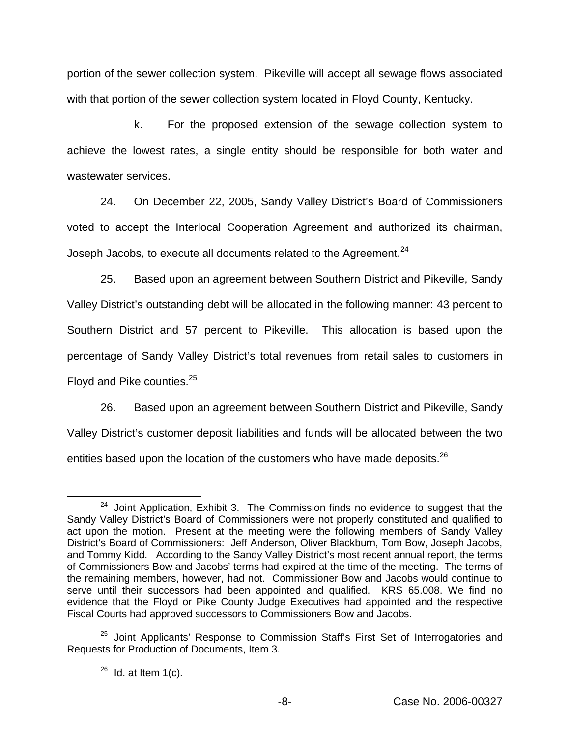portion of the sewer collection system. Pikeville will accept all sewage flows associated with that portion of the sewer collection system located in Floyd County, Kentucky.

k. For the proposed extension of the sewage collection system to achieve the lowest rates, a single entity should be responsible for both water and wastewater services.

24. On December 22, 2005, Sandy Valley District's Board of Commissioners voted to accept the Interlocal Cooperation Agreement and authorized its chairman, Joseph Jacobs, to execute all documents related to the Agreement.<sup>24</sup>

25. Based upon an agreement between Southern District and Pikeville, Sandy Valley District's outstanding debt will be allocated in the following manner: 43 percent to Southern District and 57 percent to Pikeville. This allocation is based upon the percentage of Sandy Valley District's total revenues from retail sales to customers in Floyd and Pike counties.<sup>25</sup>

26. Based upon an agreement between Southern District and Pikeville, Sandy Valley District's customer deposit liabilities and funds will be allocated between the two entities based upon the location of the customers who have made deposits.<sup>26</sup>

<sup>&</sup>lt;sup>24</sup> Joint Application, Exhibit 3. The Commission finds no evidence to suggest that the Sandy Valley District's Board of Commissioners were not properly constituted and qualified to act upon the motion. Present at the meeting were the following members of Sandy Valley District's Board of Commissioners: Jeff Anderson, Oliver Blackburn, Tom Bow, Joseph Jacobs, and Tommy Kidd. According to the Sandy Valley District's most recent annual report, the terms of Commissioners Bow and Jacobs' terms had expired at the time of the meeting. The terms of the remaining members, however, had not. Commissioner Bow and Jacobs would continue to serve until their successors had been appointed and qualified. KRS 65.008. We find no evidence that the Floyd or Pike County Judge Executives had appointed and the respective Fiscal Courts had approved successors to Commissioners Bow and Jacobs.

<sup>&</sup>lt;sup>25</sup> Joint Applicants' Response to Commission Staff's First Set of Interrogatories and Requests for Production of Documents, Item 3.

 $26$  Id. at Item 1(c).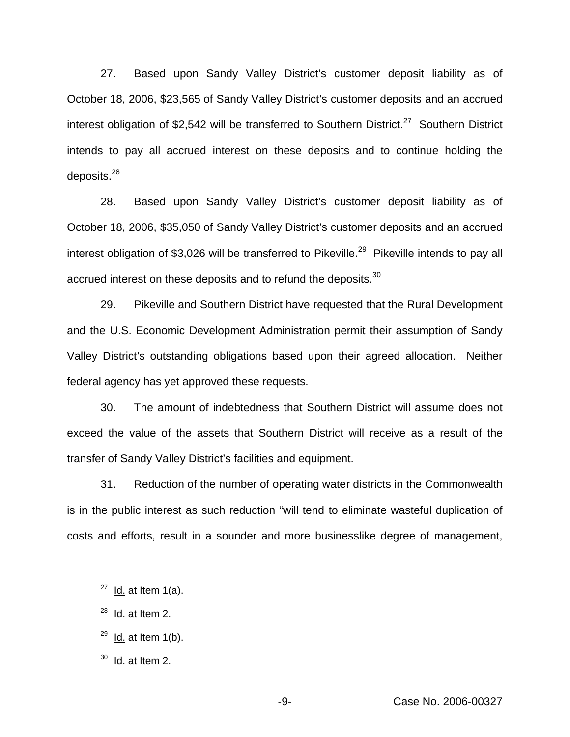27. Based upon Sandy Valley District's customer deposit liability as of October 18, 2006, \$23,565 of Sandy Valley District's customer deposits and an accrued interest obligation of \$2,542 will be transferred to Southern District.<sup>27</sup> Southern District intends to pay all accrued interest on these deposits and to continue holding the deposits. $^{28}$ 

28. Based upon Sandy Valley District's customer deposit liability as of October 18, 2006, \$35,050 of Sandy Valley District's customer deposits and an accrued interest obligation of \$3,026 will be transferred to Pikeville.<sup>29</sup> Pikeville intends to pay all accrued interest on these deposits and to refund the deposits.<sup>30</sup>

29. Pikeville and Southern District have requested that the Rural Development and the U.S. Economic Development Administration permit their assumption of Sandy Valley District's outstanding obligations based upon their agreed allocation. Neither federal agency has yet approved these requests.

30. The amount of indebtedness that Southern District will assume does not exceed the value of the assets that Southern District will receive as a result of the transfer of Sandy Valley District's facilities and equipment.

31. Reduction of the number of operating water districts in the Commonwealth is in the public interest as such reduction "will tend to eliminate wasteful duplication of costs and efforts, result in a sounder and more businesslike degree of management,

- $28$  Id. at Item 2.
- $29$  Id. at Item 1(b).
- $30$  Id. at Item 2.

 $27$  <u>Id.</u> at Item 1(a).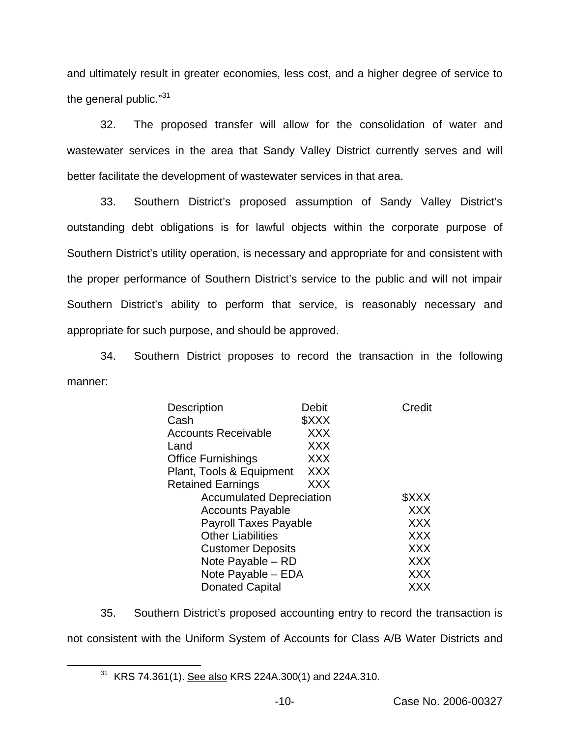and ultimately result in greater economies, less cost, and a higher degree of service to the general public."31

32. The proposed transfer will allow for the consolidation of water and wastewater services in the area that Sandy Valley District currently serves and will better facilitate the development of wastewater services in that area.

33. Southern District's proposed assumption of Sandy Valley District's outstanding debt obligations is for lawful objects within the corporate purpose of Southern District's utility operation, is necessary and appropriate for and consistent with the proper performance of Southern District's service to the public and will not impair Southern District's ability to perform that service, is reasonably necessary and appropriate for such purpose, and should be approved.

34. Southern District proposes to record the transaction in the following manner:

| <b>Description</b>              | Debit      | Credit     |
|---------------------------------|------------|------------|
| Cash                            | \$XXX      |            |
| <b>Accounts Receivable</b>      | <b>XXX</b> |            |
| Land                            | <b>XXX</b> |            |
| <b>Office Furnishings</b>       | <b>XXX</b> |            |
| Plant, Tools & Equipment        | <b>XXX</b> |            |
| <b>Retained Earnings</b>        | XXX        |            |
| <b>Accumulated Depreciation</b> |            | \$XXX      |
| <b>Accounts Payable</b>         |            | <b>XXX</b> |
| <b>Payroll Taxes Payable</b>    |            | <b>XXX</b> |
| <b>Other Liabilities</b>        |            | XXX        |
| <b>Customer Deposits</b>        |            | XXX        |
| Note Payable - RD               |            | <b>XXX</b> |
| Note Payable – EDA              |            | <b>XXX</b> |
| <b>Donated Capital</b>          |            | XXX        |

35. Southern District's proposed accounting entry to record the transaction is not consistent with the Uniform System of Accounts for Class A/B Water Districts and

<sup>&</sup>lt;sup>31</sup> KRS 74.361(1). See also KRS 224A.300(1) and 224A.310.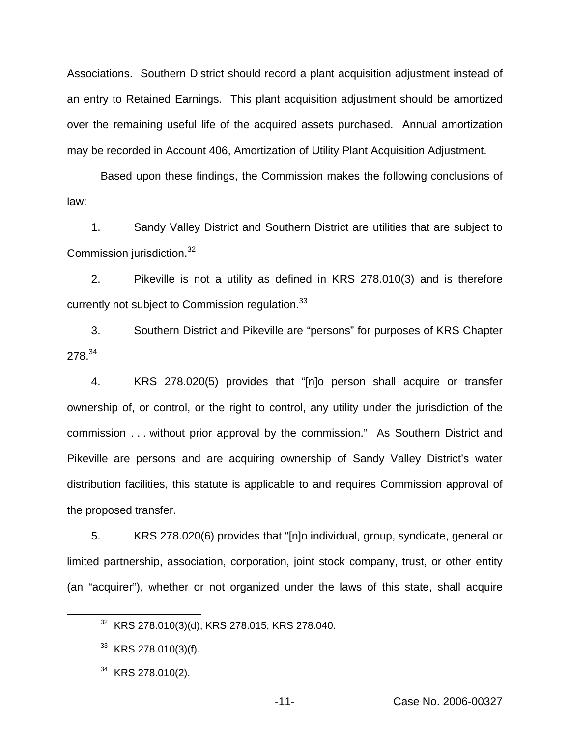Associations. Southern District should record a plant acquisition adjustment instead of an entry to Retained Earnings. This plant acquisition adjustment should be amortized over the remaining useful life of the acquired assets purchased. Annual amortization may be recorded in Account 406, Amortization of Utility Plant Acquisition Adjustment.

Based upon these findings, the Commission makes the following conclusions of law:

1. Sandy Valley District and Southern District are utilities that are subject to Commission jurisdiction.<sup>32</sup>

2. Pikeville is not a utility as defined in KRS 278.010(3) and is therefore currently not subject to Commission regulation.<sup>33</sup>

3. Southern District and Pikeville are "persons" for purposes of KRS Chapter 278.<sup>34</sup>

4. KRS 278.020(5) provides that "[n]o person shall acquire or transfer ownership of, or control, or the right to control, any utility under the jurisdiction of the commission . . . without prior approval by the commission." As Southern District and Pikeville are persons and are acquiring ownership of Sandy Valley District's water distribution facilities, this statute is applicable to and requires Commission approval of the proposed transfer.

5. KRS 278.020(6) provides that "[n]o individual, group, syndicate, general or limited partnership, association, corporation, joint stock company, trust, or other entity (an "acquirer"), whether or not organized under the laws of this state, shall acquire

<sup>32</sup> KRS 278.010(3)(d); KRS 278.015; KRS 278.040.

<sup>33</sup> KRS 278.010(3)(f).

<sup>&</sup>lt;sup>34</sup> KRS 278.010(2).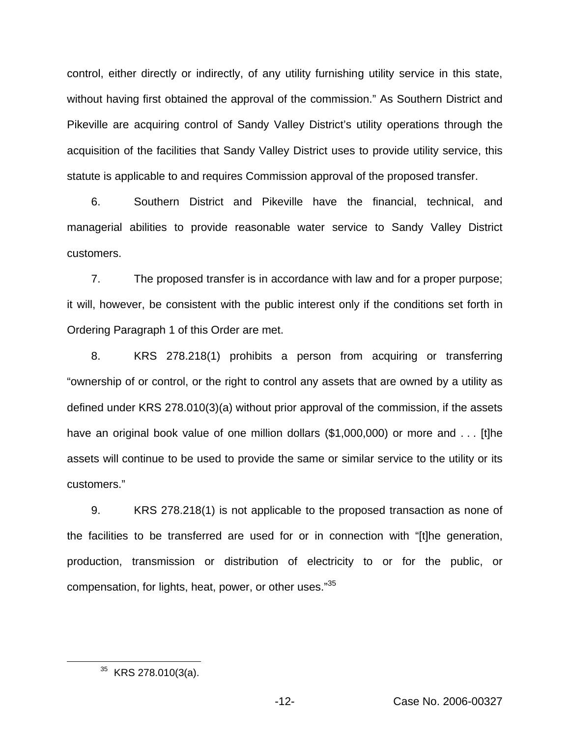control, either directly or indirectly, of any utility furnishing utility service in this state, without having first obtained the approval of the commission." As Southern District and Pikeville are acquiring control of Sandy Valley District's utility operations through the acquisition of the facilities that Sandy Valley District uses to provide utility service, this statute is applicable to and requires Commission approval of the proposed transfer.

6. Southern District and Pikeville have the financial, technical, and managerial abilities to provide reasonable water service to Sandy Valley District customers.

7. The proposed transfer is in accordance with law and for a proper purpose; it will, however, be consistent with the public interest only if the conditions set forth in Ordering Paragraph 1 of this Order are met.

8. KRS 278.218(1) prohibits a person from acquiring or transferring "ownership of or control, or the right to control any assets that are owned by a utility as defined under KRS 278.010(3)(a) without prior approval of the commission, if the assets have an original book value of one million dollars (\$1,000,000) or more and . . . [t]he assets will continue to be used to provide the same or similar service to the utility or its customers."

9. KRS 278.218(1) is not applicable to the proposed transaction as none of the facilities to be transferred are used for or in connection with "[t]he generation, production, transmission or distribution of electricity to or for the public, or compensation, for lights, heat, power, or other uses."<sup>35</sup>

 $35$  KRS 278.010(3(a).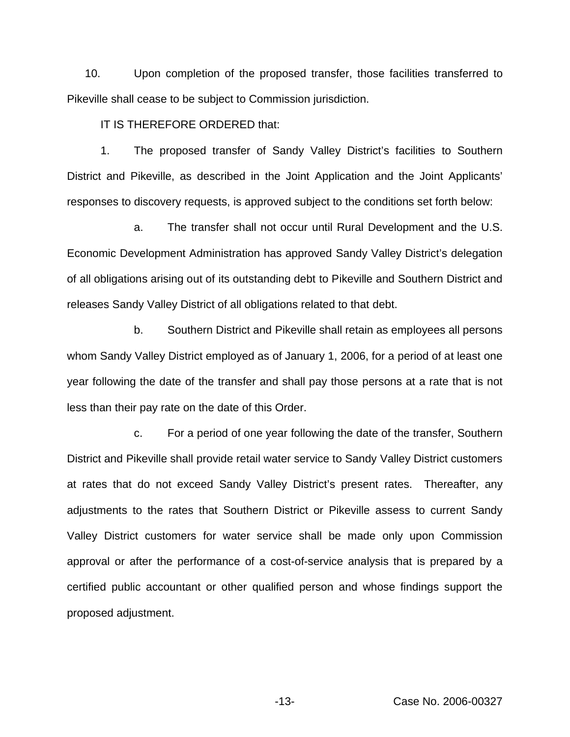10. Upon completion of the proposed transfer, those facilities transferred to Pikeville shall cease to be subject to Commission jurisdiction.

IT IS THEREFORE ORDERED that:

1. The proposed transfer of Sandy Valley District's facilities to Southern District and Pikeville, as described in the Joint Application and the Joint Applicants' responses to discovery requests, is approved subject to the conditions set forth below:

a. The transfer shall not occur until Rural Development and the U.S. Economic Development Administration has approved Sandy Valley District's delegation of all obligations arising out of its outstanding debt to Pikeville and Southern District and releases Sandy Valley District of all obligations related to that debt.

b. Southern District and Pikeville shall retain as employees all persons whom Sandy Valley District employed as of January 1, 2006, for a period of at least one year following the date of the transfer and shall pay those persons at a rate that is not less than their pay rate on the date of this Order.

c. For a period of one year following the date of the transfer, Southern District and Pikeville shall provide retail water service to Sandy Valley District customers at rates that do not exceed Sandy Valley District's present rates. Thereafter, any adjustments to the rates that Southern District or Pikeville assess to current Sandy Valley District customers for water service shall be made only upon Commission approval or after the performance of a cost-of-service analysis that is prepared by a certified public accountant or other qualified person and whose findings support the proposed adjustment.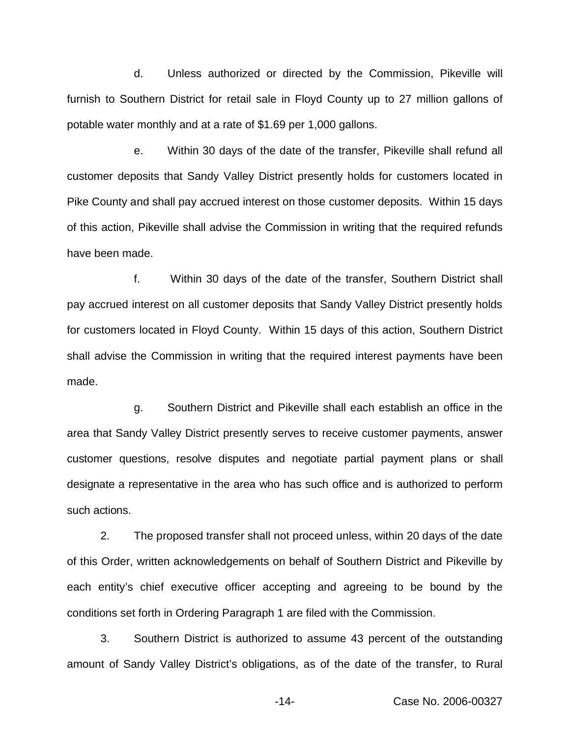d. Unless authorized or directed by the Commission, Pikeville will furnish to Southern District for retail sale in Floyd County up to 27 million gallons of potable water monthly and at a rate of \$1.69 per 1,000 gallons.

e. Within 30 days of the date of the transfer, Pikeville shall refund all customer deposits that Sandy Valley District presently holds for customers located in Pike County and shall pay accrued interest on those customer deposits. Within 15 days of this action, Pikeville shall advise the Commission in writing that the required refunds have been made.

f. Within 30 days of the date of the transfer, Southern District shall pay accrued interest on all customer deposits that Sandy Valley District presently holds for customers located in Floyd County. Within 15 days of this action, Southern District shall advise the Commission in writing that the required interest payments have been made.

g. Southern District and Pikeville shall each establish an office in the area that Sandy Valley District presently serves to receive customer payments, answer customer questions, resolve disputes and negotiate partial payment plans or shall designate a representative in the area who has such office and is authorized to perform such actions.

2. The proposed transfer shall not proceed unless, within 20 days of the date of this Order, written acknowledgements on behalf of Southern District and Pikeville by each entity's chief executive officer accepting and agreeing to be bound by the conditions set forth in Ordering Paragraph 1 are filed with the Commission.

3. Southern District is authorized to assume 43 percent of the outstanding amount of Sandy Valley District's obligations, as of the date of the transfer, to Rural

-14- Case No. 2006-00327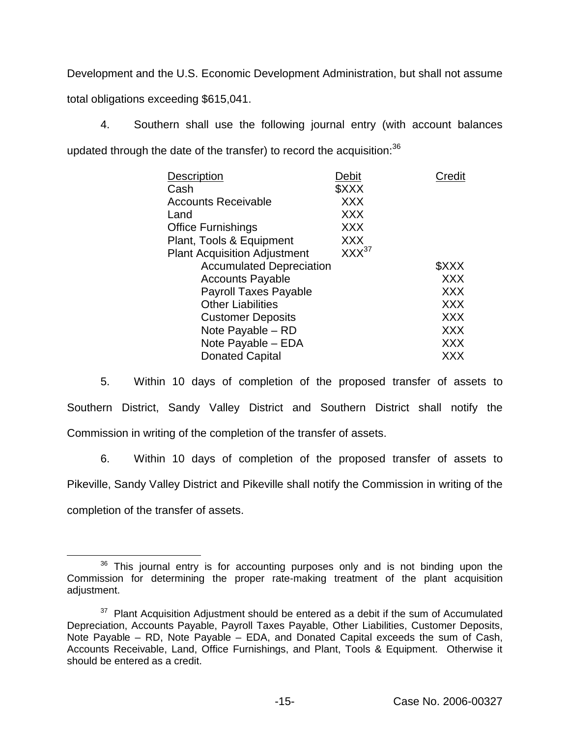Development and the U.S. Economic Development Administration, but shall not assume total obligations exceeding \$615,041.

4. Southern shall use the following journal entry (with account balances updated through the date of the transfer) to record the acquisition:<sup>36</sup>

| <b>Description</b>                  | Debit      | Credit     |
|-------------------------------------|------------|------------|
| Cash                                | \$XXX      |            |
| <b>Accounts Receivable</b>          | <b>XXX</b> |            |
| Land                                | <b>XXX</b> |            |
| Office Furnishings                  | <b>XXX</b> |            |
| Plant, Tools & Equipment            | <b>XXX</b> |            |
| <b>Plant Acquisition Adjustment</b> | $XXX^{37}$ |            |
| <b>Accumulated Depreciation</b>     |            | \$XXX      |
| <b>Accounts Payable</b>             |            | <b>XXX</b> |
| <b>Payroll Taxes Payable</b>        |            | <b>XXX</b> |
| <b>Other Liabilities</b>            |            | <b>XXX</b> |
| <b>Customer Deposits</b>            |            | <b>XXX</b> |
| Note Payable - RD                   |            | <b>XXX</b> |
| Note Payable - EDA                  |            | <b>XXX</b> |
| <b>Donated Capital</b>              |            | <b>XXX</b> |
|                                     |            |            |

5. Within 10 days of completion of the proposed transfer of assets to Southern District, Sandy Valley District and Southern District shall notify the Commission in writing of the completion of the transfer of assets.

6. Within 10 days of completion of the proposed transfer of assets to Pikeville, Sandy Valley District and Pikeville shall notify the Commission in writing of the completion of the transfer of assets.

<sup>&</sup>lt;sup>36</sup> This journal entry is for accounting purposes only and is not binding upon the Commission for determining the proper rate-making treatment of the plant acquisition adjustment.

 $37$  Plant Acquisition Adjustment should be entered as a debit if the sum of Accumulated Depreciation, Accounts Payable, Payroll Taxes Payable, Other Liabilities, Customer Deposits, Note Payable – RD, Note Payable – EDA, and Donated Capital exceeds the sum of Cash, Accounts Receivable, Land, Office Furnishings, and Plant, Tools & Equipment. Otherwise it should be entered as a credit.